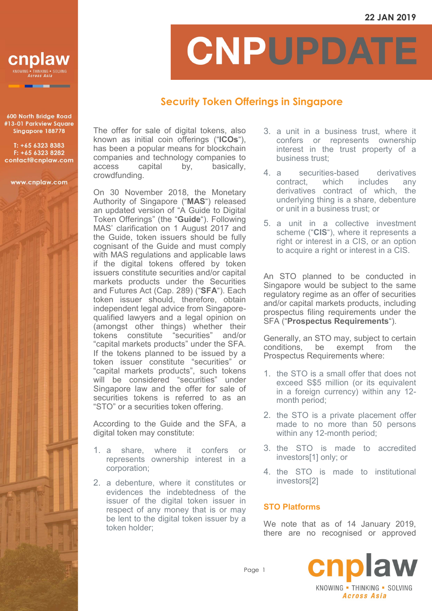

600 North Bridge Road #13-01 Parkview Square Singapore 188778

T: +65 6323 8383 F: +65 6323 8282 contact@cnplaw.com

www.cnplaw.com

CNPUPDATI

## **Security Token Offerings in Singapore**

The offer for sale of digital tokens, also known as initial coin offerings ("**ICOs**"), has been a popular means for blockchain companies and technology companies to access capital by, basically, crowdfunding.

On 30 November 2018, the Monetary Authority of Singapore ("**MAS**") released an updated version of "A Guide to Digital Token Offerings" (the "**Guide**"). Following MAS' clarification on 1 August 2017 and the Guide, token issuers should be fully cognisant of the Guide and must comply with MAS regulations and applicable laws if the digital tokens offered by token issuers constitute securities and/or capital markets products under the Securities and Futures Act (Cap. 289) ("**SFA**"). Each token issuer should, therefore, obtain independent legal advice from Singaporequalified lawyers and a legal opinion on (amongst other things) whether their tokens constitute "securities" and/or "capital markets products" under the SFA. If the tokens planned to be issued by a token issuer constitute "securities" or "capital markets products", such tokens will be considered "securities" under Singapore law and the offer for sale of securities tokens is referred to as an "STO" or a securities token offering.

According to the Guide and the SFA, a digital token may constitute:

- 1. a share, where it confers or represents ownership interest in a corporation;
- 2. a debenture, where it constitutes or evidences the indebtedness of the issuer of the digital token issuer in respect of any money that is or may be lent to the digital token issuer by a token holder;
- 3. a unit in a business trust, where it confers or represents ownership interest in the trust property of a business trust;
- 4. a securities-based derivatives contract, which includes any derivatives contract of which, the underlying thing is a share, debenture or unit in a business trust; or
- 5. a unit in a collective investment scheme ("**CIS**"), where it represents a right or interest in a CIS, or an option to acquire a right or interest in a CIS.

An STO planned to be conducted in Singapore would be subject to the same regulatory regime as an offer of securities and/or capital markets products, including prospectus filing requirements under the SFA ("**Prospectus Requirements**").

Generally, an STO may, subject to certain conditions, be exempt from the Prospectus Requirements where:

- 1. the STO is a small offer that does not exceed S\$5 million (or its equivalent in a foreign currency) within any 12 month period;
- 2. the STO is a private placement offer made to no more than 50 persons within any 12-month period;
- 3. the STO is made to accredited investors[1] only; or
- 4. the STO is made to institutional investors[2]

## **STO Platforms**

We note that as of 14 January 2019, there are no recognised or approved



Page 1